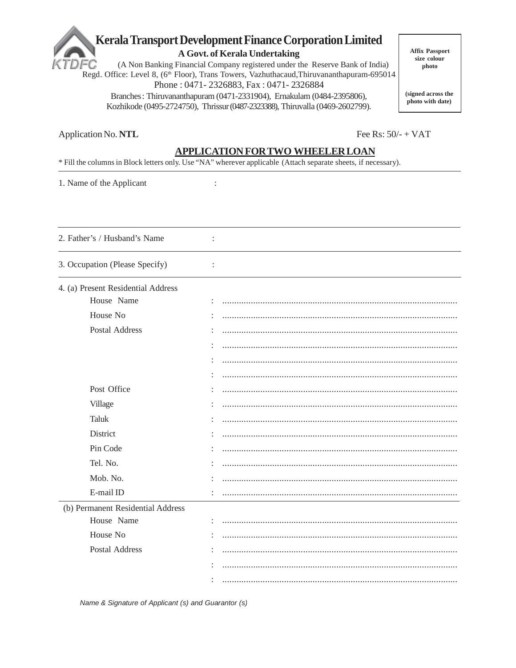# Kerala Transport Development Finance Corporation Limited

A Govt. of Kerala Undertaking

(A Non Banking Financial Company registered under the Reserve Bank of India) FC Regd. Office: Level 8, (6<sup>th</sup> Floor), Trans Towers, Vazhuthacaud, Thiruvananthapuram-695014 Phone: 0471-2326883, Fax: 0471-2326884

Branches: Thiruvananthapuram (0471-2331904), Ernakulam (0484-2395806), Kozhikode (0495-2724750), Thrissur (0487-2323388), Thiruvalla (0469-2602799). **Affix Passport** size colour photo

(signed across the photo with date)

Fee Rs:  $50/- + VAT$ 

## **APPLICATION FOR TWO WHEELER LOAN**

\* Fill the columns in Block letters only. Use "NA" wherever applicable (Attach separate sheets, if necessary).

 $\colon$ 

 $\ddot{\cdot}$ 

 $\div$ 

1. Name of the Applicant

2. Father's / Husband's Name

3. Occupation (Please Specify)

#### 4. (a) Present Residential Address

| House Name                        |  |
|-----------------------------------|--|
| House No                          |  |
| Postal Address                    |  |
|                                   |  |
|                                   |  |
|                                   |  |
| Post Office                       |  |
| Village                           |  |
| Taluk                             |  |
| District                          |  |
| Pin Code                          |  |
| Tel. No.                          |  |
| Mob. No.                          |  |
| E-mail ID                         |  |
| (b) Permanent Residential Address |  |
| House Name                        |  |
| House No                          |  |
| Postal Address                    |  |
|                                   |  |
|                                   |  |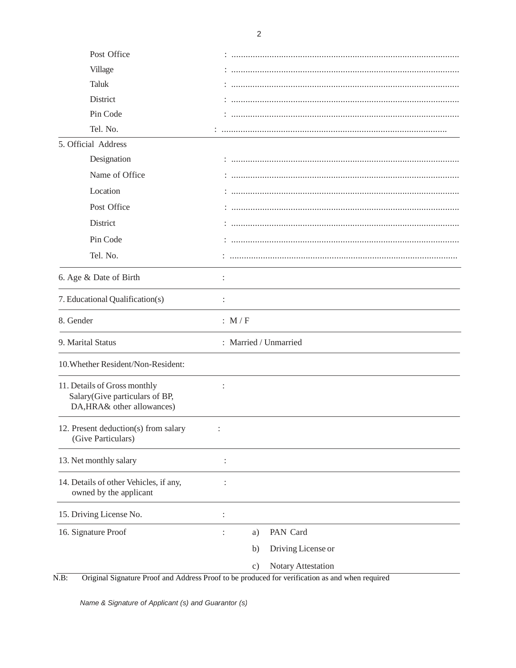| Post Office                                                                                  |                                        |
|----------------------------------------------------------------------------------------------|----------------------------------------|
| Village                                                                                      |                                        |
| <b>Taluk</b>                                                                                 |                                        |
| District                                                                                     |                                        |
| Pin Code                                                                                     |                                        |
| Tel. No.                                                                                     |                                        |
| 5. Official Address                                                                          |                                        |
| Designation                                                                                  |                                        |
| Name of Office                                                                               |                                        |
| Location                                                                                     |                                        |
| Post Office                                                                                  |                                        |
| District                                                                                     |                                        |
| Pin Code                                                                                     |                                        |
| Tel. No.                                                                                     |                                        |
| 6. Age & Date of Birth                                                                       |                                        |
| 7. Educational Qualification(s)                                                              | $\ddot{\cdot}$                         |
|                                                                                              |                                        |
| 8. Gender                                                                                    | : $M/F$                                |
| 9. Marital Status                                                                            | : Married / Unmarried                  |
| 10. Whether Resident/Non-Resident:                                                           |                                        |
| 11. Details of Gross monthly<br>Salary(Give particulars of BP,<br>DA, HRA& other allowances) |                                        |
| 12. Present deduction(s) from salary<br>(Give Particulars)                                   |                                        |
| 13. Net monthly salary                                                                       |                                        |
| 14. Details of other Vehicles, if any,<br>owned by the applicant                             | $\ddot{\cdot}$                         |
| 15. Driving License No.                                                                      | $\ddot{\cdot}$                         |
| 16. Signature Proof                                                                          | PAN Card<br>a)<br>$\ddot{\phantom{a}}$ |
|                                                                                              | Driving License or<br>b)               |
|                                                                                              | Notary Attestation<br>$\mathbf{c})$    |

N.B: Original Signature Proof and Address Proof to be produced for verification as and when required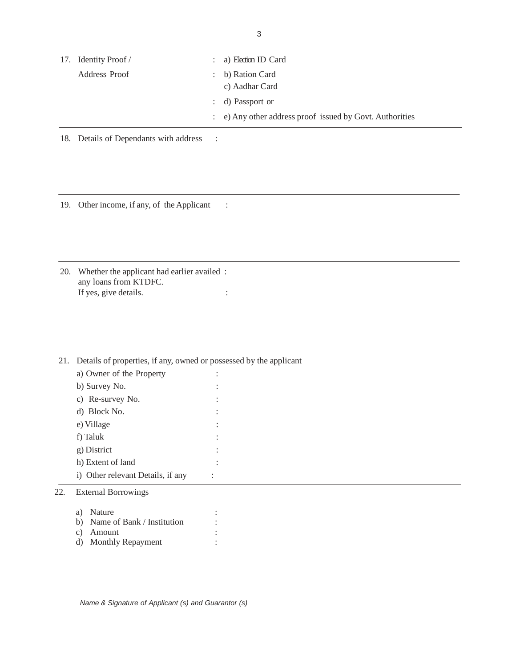| 17. Identity Proof / | $: a)$ Election ID Card                                  |
|----------------------|----------------------------------------------------------|
| Address Proof        | $\therefore$ b) Ration Card                              |
|                      | c) Aadhar Card                                           |
|                      | : d) Passport or                                         |
|                      | : e) Any other address proof issued by Govt. Authorities |

18. Details of Dependants with address :

19. Other income, if any, of the Applicant :

20. Whether the applicant had earlier availed : any loans from KTDFC. If yes, give details.  $\cdot$  :

21. Details of properties, if any, owned or possessed by the applicant a) Owner of the Property : b) Survey No.  $\qquad \qquad :$ c) Re-survey No. : d) Block No. : e) Village : f) Taluk : g) District : h) Extent of land : i) Other relevant Details, if any : 22. External Borrowings a) Nature : b) Name of Bank / Institution :

- c) Amount :
- d) Monthly Repayment :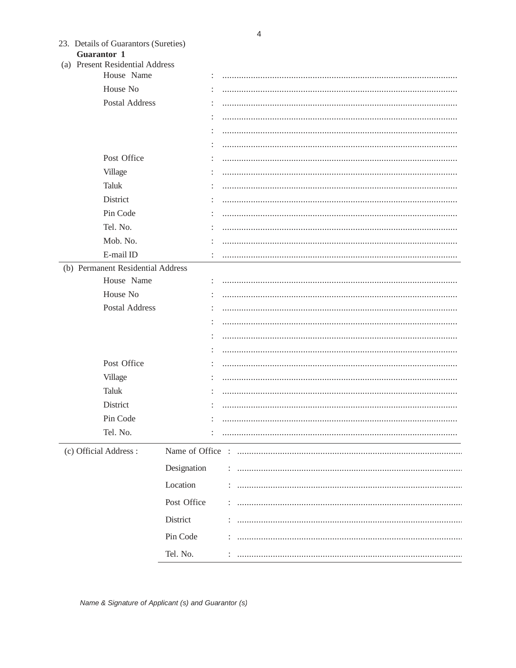| 23. Details of Guarantors (Sureties) |
|--------------------------------------|
| <b>Guarantor 1</b>                   |

(a) Present Residential Address

| $\mu$ | TTCSCIII INCSIGUIIIIaI TUGICSS    |             |  |
|-------|-----------------------------------|-------------|--|
|       | House Name                        |             |  |
|       | House No                          |             |  |
|       | Postal Address                    |             |  |
|       |                                   |             |  |
|       |                                   |             |  |
|       |                                   |             |  |
|       | Post Office                       |             |  |
|       | Village                           |             |  |
|       | Taluk                             |             |  |
|       | District                          |             |  |
|       | Pin Code                          |             |  |
|       | Tel. No.                          |             |  |
|       | Mob. No.                          |             |  |
|       | E-mail ID                         |             |  |
|       | (b) Permanent Residential Address |             |  |
|       | House Name                        |             |  |
|       | House No                          |             |  |
|       | Postal Address                    |             |  |
|       |                                   |             |  |
|       |                                   |             |  |
|       |                                   |             |  |
|       | Post Office                       |             |  |
|       | Village                           |             |  |
|       | Taluk                             |             |  |
|       | District                          |             |  |
|       | Pin Code                          |             |  |
|       | Tel. No.                          |             |  |
|       | (c) Official Address:             |             |  |
|       |                                   | Designation |  |
|       |                                   | Location    |  |
|       |                                   |             |  |
|       |                                   | Post Office |  |
|       |                                   | District    |  |
|       |                                   | Pin Code    |  |
|       |                                   | Tel. No.    |  |
|       |                                   |             |  |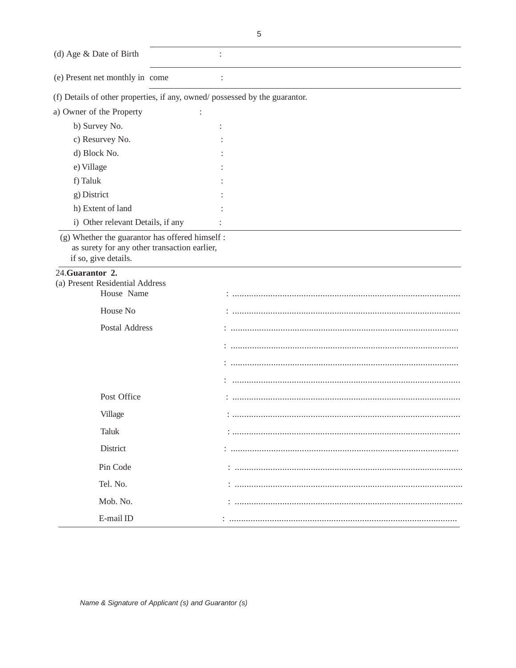(d) Age & Date of Birth  $\ddot{\cdot}$ (e) Present net monthly in come  $\ddot{\cdot}$ (f) Details of other properties, if any, owned/possessed by the guarantor. a) Owner of the Property  $\ddot{\cdot}$ b) Survey No.  $\ddot{\cdot}$ c) Resurvey No.  $\ddot{\cdot}$ d) Block No. e) Village f) Taluk g) District h) Extent of land i) Other relevant Details, if any  $\ddot{\cdot}$ (g) Whether the guarantor has offered himself : as surety for any other transaction earlier, if so, give details. 24. Guarantor 2. (a) Present Residential Address House Name House No Postal Address Post Office Village **Taluk** District 

Pin Code

Tel. No.

Mob. No.

E-mail ID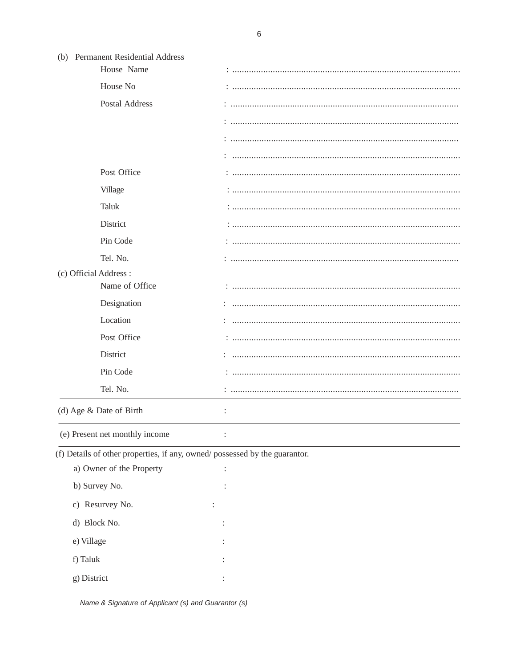| (b) Permanent Residential Address                                          |   |
|----------------------------------------------------------------------------|---|
| House Name                                                                 |   |
| House No                                                                   |   |
| Postal Address                                                             |   |
|                                                                            |   |
|                                                                            |   |
|                                                                            |   |
| Post Office                                                                |   |
| Village                                                                    |   |
| <b>Taluk</b>                                                               |   |
| District                                                                   |   |
| Pin Code                                                                   |   |
| Tel. No.                                                                   |   |
| (c) Official Address :                                                     |   |
| Name of Office                                                             |   |
| Designation                                                                |   |
| Location                                                                   |   |
| Post Office                                                                |   |
| District                                                                   |   |
| Pin Code                                                                   |   |
| Tel. No.                                                                   |   |
| (d) Age & Date of Birth                                                    | : |
| (e) Present net monthly income                                             |   |
| (f) Details of other properties, if any, owned/possessed by the guarantor. |   |
| a) Owner of the Property                                                   |   |
| b) Survey No.                                                              |   |
| c) Resurvey No.                                                            |   |

Name & Signature of Applicant (s) and Guarantor (s)

 $\ddot{\cdot}$ 

 $\div$ 

 $\ddot{\ddot{\cdot}}$ 

 $\pm$ 

d) Block No.

e) Village

f) Taluk

g) District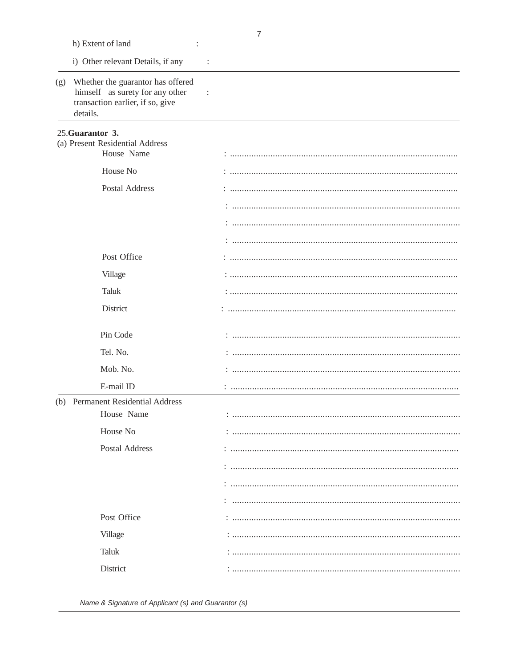|     | h) Extent of land                                                                                                    |                |
|-----|----------------------------------------------------------------------------------------------------------------------|----------------|
|     | i) Other relevant Details, if any                                                                                    | $\ddot{\cdot}$ |
| (g) | Whether the guarantor has offered<br>himself as surety for any other<br>transaction earlier, if so, give<br>details. |                |
|     | 25. Guarantor 3.                                                                                                     |                |
|     | (a) Present Residential Address<br>House Name                                                                        |                |
|     | House No                                                                                                             |                |
|     | Postal Address                                                                                                       |                |
|     |                                                                                                                      |                |
|     |                                                                                                                      |                |
|     |                                                                                                                      |                |
|     | Post Office                                                                                                          |                |
|     | Village                                                                                                              |                |
|     | <b>Taluk</b>                                                                                                         |                |
|     | District                                                                                                             |                |
|     | Pin Code                                                                                                             |                |
|     | Tel. No.                                                                                                             |                |
|     | Mob. No.                                                                                                             |                |
|     | E-mail ID                                                                                                            |                |
|     | (b) Permanent Residential Address<br>House Name                                                                      |                |
|     | House No                                                                                                             |                |
|     | Postal Address                                                                                                       |                |
|     |                                                                                                                      |                |
|     |                                                                                                                      |                |
|     |                                                                                                                      |                |
|     | Post Office                                                                                                          |                |
|     |                                                                                                                      |                |
|     | Village                                                                                                              |                |
|     | <b>Taluk</b>                                                                                                         |                |
|     | District                                                                                                             |                |

Name & Signature of Applicant (s) and Guarantor (s)

 $\overline{7}$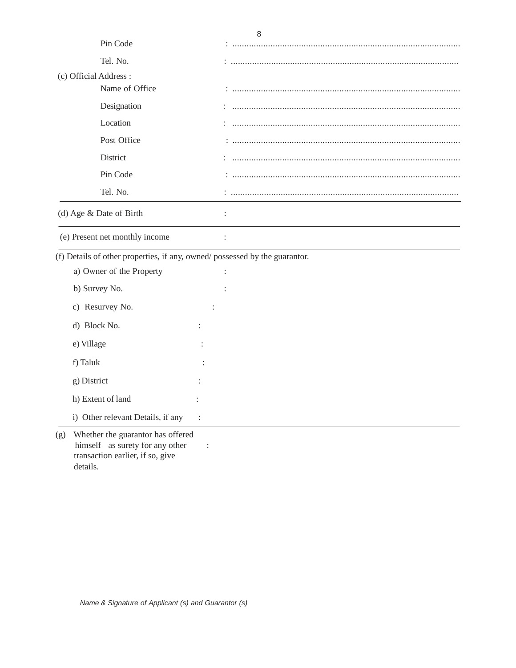|                                                                              | 8 |
|------------------------------------------------------------------------------|---|
| Pin Code                                                                     |   |
| Tel. No.                                                                     |   |
| (c) Official Address:                                                        |   |
| Name of Office                                                               |   |
| Designation                                                                  |   |
| Location                                                                     |   |
| Post Office                                                                  |   |
| District                                                                     |   |
| Pin Code                                                                     |   |
| Tel. No.                                                                     |   |
| (d) Age & Date of Birth                                                      |   |
| (e) Present net monthly income                                               |   |
| (f) Details of other properties, if any, owned/possessed by the guarantor.   |   |
| a) Owner of the Property                                                     |   |
| b) Survey No.                                                                |   |
| c) Resurvey No.                                                              |   |
| d) Block No.                                                                 |   |
| e) Village                                                                   |   |
| f) Taluk                                                                     |   |
| g) District                                                                  |   |
| h) Extent of land                                                            |   |
| i) Other relevant Details, if any                                            |   |
| Whether the guarantor has offered<br>(g)<br>himself as sure ty for any other |   |

himself as surety for any other : transaction earlier, if so, give details.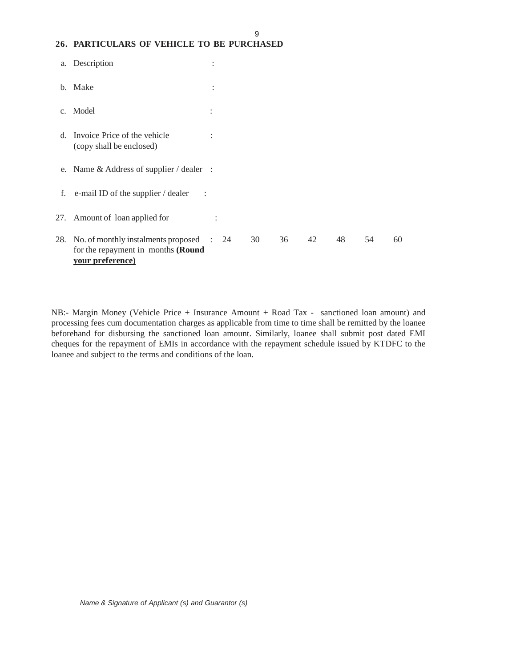### **26. PARTICULARS OF VEHICLE TO BE PURCHASED**

| a.            | Description                                                                                        | $\ddot{\cdot}$ |    |    |    |    |    |    |
|---------------|----------------------------------------------------------------------------------------------------|----------------|----|----|----|----|----|----|
|               | b. Make                                                                                            | $\vdots$       |    |    |    |    |    |    |
| $C_{\bullet}$ | Model                                                                                              | $\ddot{\cdot}$ |    |    |    |    |    |    |
| d.            | Invoice Price of the vehicle<br>(copy shall be enclosed)                                           | $\ddot{\cdot}$ |    |    |    |    |    |    |
|               | e. Name $&$ Address of supplier / dealer :                                                         |                |    |    |    |    |    |    |
| f.            | e-mail ID of the supplier / dealer<br>$\sim$ 1                                                     |                |    |    |    |    |    |    |
|               | 27. Amount of loan applied for                                                                     | $\ddot{\cdot}$ |    |    |    |    |    |    |
| 28.           | No. of monthly instalments proposed : 24<br>for the repayment in months (Round<br>vour preference) |                | 30 | 36 | 42 | 48 | 54 | 60 |

9

NB:- Margin Money (Vehicle Price + Insurance Amount + Road Tax - sanctioned loan amount) and processing fees cum documentation charges as applicable from time to time shall be remitted by the loanee beforehand for disbursing the sanctioned loan amount. Similarly, loanee shall submit post dated EMI cheques for the repayment of EMIs in accordance with the repayment schedule issued by KTDFC to the loanee and subject to the terms and conditions of the loan.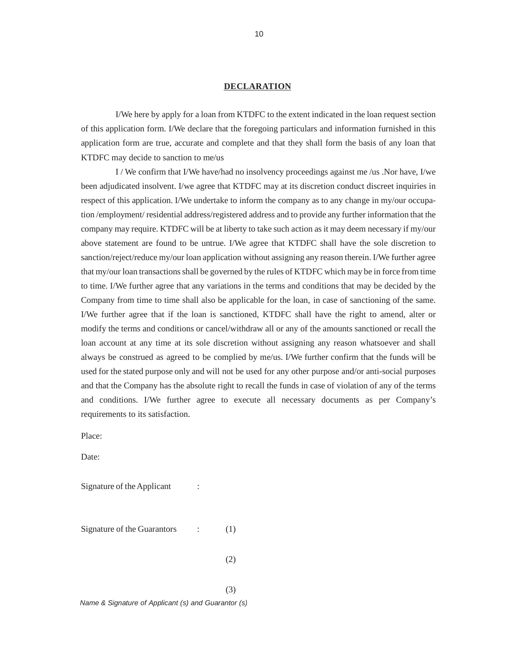#### **DECLARATION**

I/We here by apply for a loan from KTDFC to the extent indicated in the loan request section of this application form. I/We declare that the foregoing particulars and information furnished in this application form are true, accurate and complete and that they shall form the basis of any loan that KTDFC may decide to sanction to me/us

I / We confirm that I/We have/had no insolvency proceedings against me /us .Nor have, I/we been adjudicated insolvent. I/we agree that KTDFC may at its discretion conduct discreet inquiries in respect of this application. I/We undertake to inform the company as to any change in my/our occupation /employment/ residential address/registered address and to provide any further information that the company may require. KTDFC will be at liberty to take such action as it may deem necessary if my/our above statement are found to be untrue. I/We agree that KTDFC shall have the sole discretion to sanction/reject/reduce my/our loan application without assigning any reason therein. I/We further agree that my/our loan transactions shall be governed by the rules of KTDFC which may be in force from time to time. I/We further agree that any variations in the terms and conditions that may be decided by the Company from time to time shall also be applicable for the loan, in case of sanctioning of the same. I/We further agree that if the loan is sanctioned, KTDFC shall have the right to amend, alter or modify the terms and conditions or cancel/withdraw all or any of the amounts sanctioned or recall the loan account at any time at its sole discretion without assigning any reason whatsoever and shall always be construed as agreed to be complied by me/us. I/We further confirm that the funds will be used for the stated purpose only and will not be used for any other purpose and/or anti-social purposes and that the Company has the absolute right to recall the funds in case of violation of any of the terms and conditions. I/We further agree to execute all necessary documents as per Company's requirements to its satisfaction.

Place:

Date:

Signature of the Applicant :

Signature of the Guarantors : (1)

 $(2)$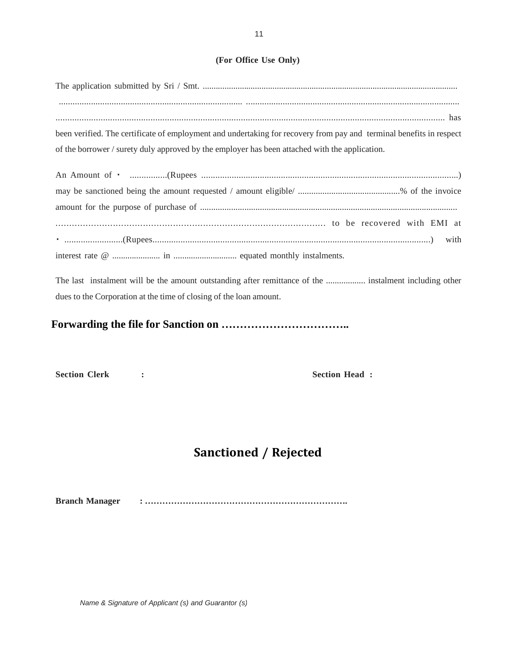### **(For Office Use Only)**

| been verified. The certificate of employment and undertaking for recovery from pay and terminal benefits in respect |
|---------------------------------------------------------------------------------------------------------------------|
| of the borrower / surety duly approved by the employer has been attached with the application.                      |
|                                                                                                                     |
|                                                                                                                     |
|                                                                                                                     |
|                                                                                                                     |
|                                                                                                                     |
|                                                                                                                     |

The last instalment will be the amount outstanding after remittance of the .................. instalment including other dues to the Corporation at the time of closing of the loan amount.

**Forwarding the file for Sanction on ……………………………..** 

Section Clerk : **Section Head :**  Section Head :

## **Sanctioned / Rejected**

**Branch Manager : …………………………………………………………….**